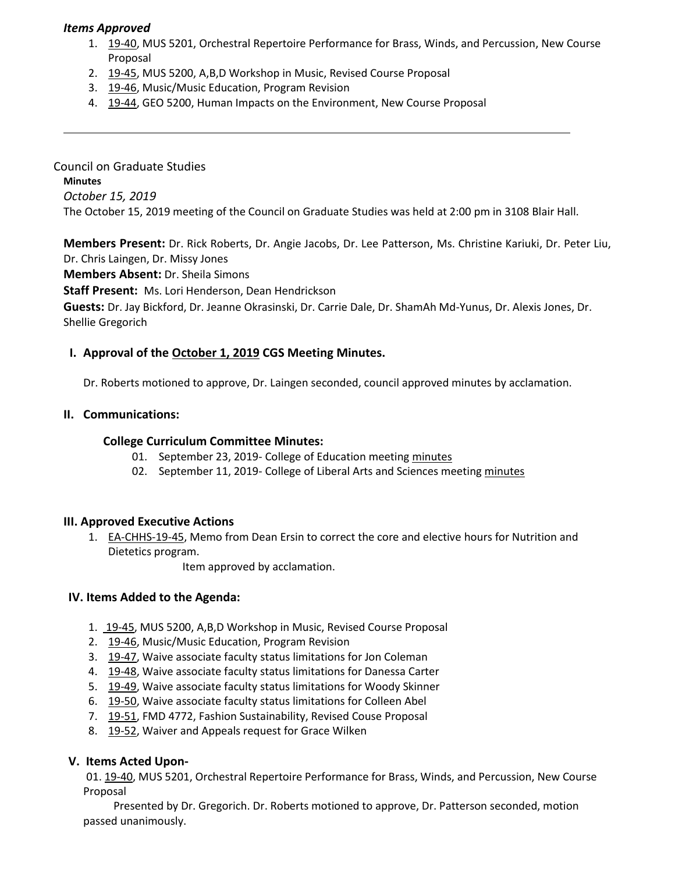### *Items Approved*

- 1. [19-40,](http://castle.eiu.edu/eiucgs/currentagendaitems/agenda19-40.pdf) MUS 5201, Orchestral Repertoire Performance for Brass, Winds, and Percussion, New Course Proposal
- 2. [19-45](http://castle.eiu.edu/eiucgs/currentagendaitems/agenda19-45.pdf), MUS 5200, A,B,D Workshop in Music, Revised Course Proposal
- 3. [19-46, M](http://castle.eiu.edu/eiucgs/currentagendaitems/agenda19-46.pdf)usic/Music Education, Program Revision
- 4. [19-44,](http://castle.eiu.edu/eiucgs/currentagendaitems/agenda19-44.pdf) GEO 5200, Human Impacts on the Environment, New Course Proposal

Council on Graduate Studies **Minutes** *October 15, 2019* The October 15, 2019 meeting of the Council on Graduate Studies was held at 2:00 pm in 3108 Blair Hall.

**Members Present:** Dr. Rick Roberts, Dr. Angie Jacobs, Dr. Lee Patterson, Ms. Christine Kariuki, Dr. Peter Liu, Dr. Chris Laingen, Dr. Missy Jones

**Members Absent:** Dr. Sheila Simons

**Staff Present:** Ms. Lori Henderson, Dean Hendrickson

**Guests:** Dr. Jay Bickford, Dr. Jeanne Okrasinski, Dr. Carrie Dale, Dr. ShamAh Md-Yunus, Dr. Alexis Jones, Dr. Shellie Gregorich

# **I. Approval of th[e](http://castle.eiu.edu/eiucgs/currentminutes/Minutes10-1-19.pdf) [October](http://castle.eiu.edu/eiucgs/currentminutes/Minutes2-20-18.pdf) 1, 2019 CGS Meeting [Minutes.](http://castle.eiu.edu/eiucgs/currentminutes/Minutes02-16-16.pdf)**

Dr. Roberts motioned to approve, Dr. Laingen seconded, council approved minutes by acclamation.

#### **II. Communications:**

#### **College Curriculum Committee Minutes:**

- 01. September 23, 2019- College of Education meetin[g minutes](https://www.eiu.edu/coe/ay20192020/coe_curr_minutes_09232019.pdf)
- 02. September 11, 2019- College of Liberal Arts and Sciences meeting [minutes](https://www.eiu.edu/clas/curriculum_committee/clascc/minutes/CLASCC_Minutes_9_11_19.pdf)

### **III. Approved Executive Actions**

1. [EA-CHHS-19-45,](http://castle.eiu.edu/eiucgs/exec-actions/EA-CHHS-19-45.pdf) Memo from Dean Ersin to correct the core and elective hours for Nutrition and Dietetics program.

Item approved by acclamation.

### **IV. Items Added to the Agenda:**

- 1. [19-45,](http://castle.eiu.edu/eiucgs/currentagendaitems/agenda19-45.pdf) MUS 5200, A,B,D Workshop in Music, Revised Course Proposal
- 2. [19-46,](http://castle.eiu.edu/eiucgs/currentagendaitems/agenda19-46.pdf) Music/Music Education, Program Revision
- 3. [19-47,](http://castle.eiu.edu/eiucgs/currentagendaitems/agenda19-47.pdf) Waive associate faculty status limitations for Jon Coleman
- 4. [19-48,](http://castle.eiu.edu/eiucgs/currentagendaitems/agenda19-48.pdf) Waive associate faculty status limitations for Danessa Carter
- 5. [19-49,](http://castle.eiu.edu/eiucgs/currentagendaitems/agenda19-49.pdf) Waive associate faculty status limitations for Woody Skinner
- 6. [19-50,](http://castle.eiu.edu/eiucgs/currentagendaitems/agenda19-50.pdf) Waive associate faculty status limitations for Colleen Abel
- 7. [19-51,](http://castle.eiu.edu/eiucgs/currentagendaitems/agenda19-51.pdf) FMD 4772, Fashion Sustainability, Revised Couse Proposal
- 8. [19-52,](http://castle.eiu.edu/eiucgs/currentagendaitems/agenda19-52.pdf) Waiver and Appeals request for Grace Wilken

### **V. Items Acted Upon-**

01. [19-40](http://castle.eiu.edu/eiucgs/currentagendaitems/agenda19-40.pdf), MUS 5201, Orchestral Repertoire Performance for Brass, Winds, and Percussion, New Course Proposal

 Presented by Dr. Gregorich. Dr. Roberts motioned to approve, Dr. Patterson seconded, motion passed unanimously.